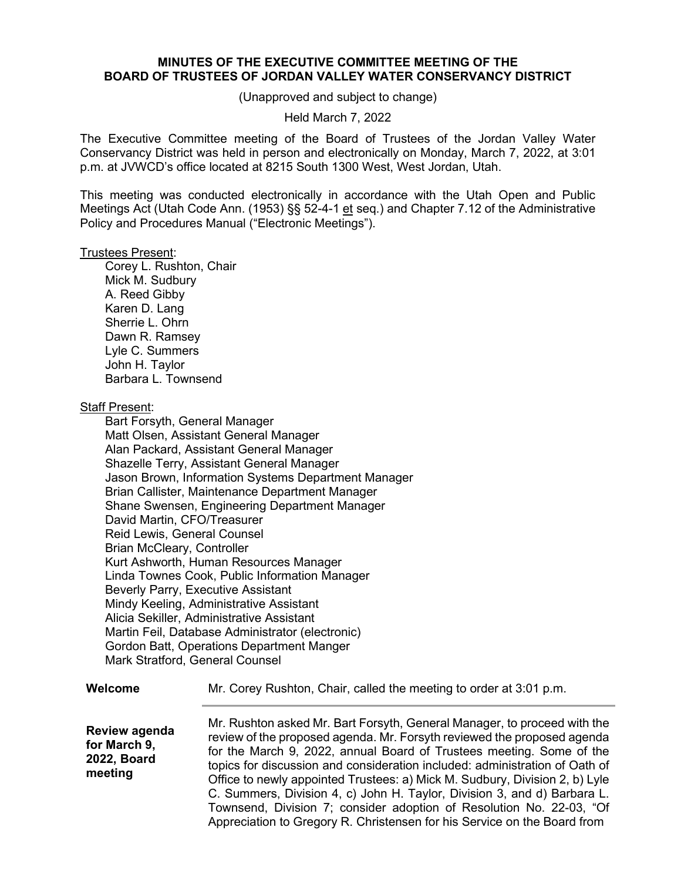# **MINUTES OF THE EXECUTIVE COMMITTEE MEETING OF THE BOARD OF TRUSTEES OF JORDAN VALLEY WATER CONSERVANCY DISTRICT**

(Unapproved and subject to change)

### Held March 7, 2022

The Executive Committee meeting of the Board of Trustees of the Jordan Valley Water Conservancy District was held in person and electronically on Monday, March 7, 2022, at 3:01 p.m. at JVWCD's office located at 8215 South 1300 West, West Jordan, Utah.

This meeting was conducted electronically in accordance with the Utah Open and Public Meetings Act (Utah Code Ann. (1953) §§ 52-4-1 et seq.) and Chapter 7.12 of the Administrative Policy and Procedures Manual ("Electronic Meetings").

### Trustees Present:

Corey L. Rushton, Chair Mick M. Sudbury A. Reed Gibby Karen D. Lang Sherrie L. Ohrn Dawn R. Ramsey Lyle C. Summers John H. Taylor Barbara L. Townsend

# Staff Present:

Bart Forsyth, General Manager Matt Olsen, Assistant General Manager Alan Packard, Assistant General Manager Shazelle Terry, Assistant General Manager Jason Brown, Information Systems Department Manager Brian Callister, Maintenance Department Manager Shane Swensen, Engineering Department Manager David Martin, CFO/Treasurer Reid Lewis, General Counsel Brian McCleary, Controller Kurt Ashworth, Human Resources Manager Linda Townes Cook, Public Information Manager Beverly Parry, Executive Assistant Mindy Keeling, Administrative Assistant Alicia Sekiller, Administrative Assistant Martin Feil, Database Administrator (electronic) Gordon Batt, Operations Department Manger Mark Stratford, General Counsel

### **Welcome**

Mr. Corey Rushton, Chair, called the meeting to order at 3:01 p.m.

**Review agenda for March 9, 2022, Board meeting**

Mr. Rushton asked Mr. Bart Forsyth, General Manager, to proceed with the review of the proposed agenda. Mr. Forsyth reviewed the proposed agenda for the March 9, 2022, annual Board of Trustees meeting. Some of the topics for discussion and consideration included: administration of Oath of Office to newly appointed Trustees: a) Mick M. Sudbury, Division 2, b) Lyle C. Summers, Division 4, c) John H. Taylor, Division 3, and d) Barbara L. Townsend, Division 7; consider adoption of Resolution No. 22-03, "Of Appreciation to Gregory R. Christensen for his Service on the Board from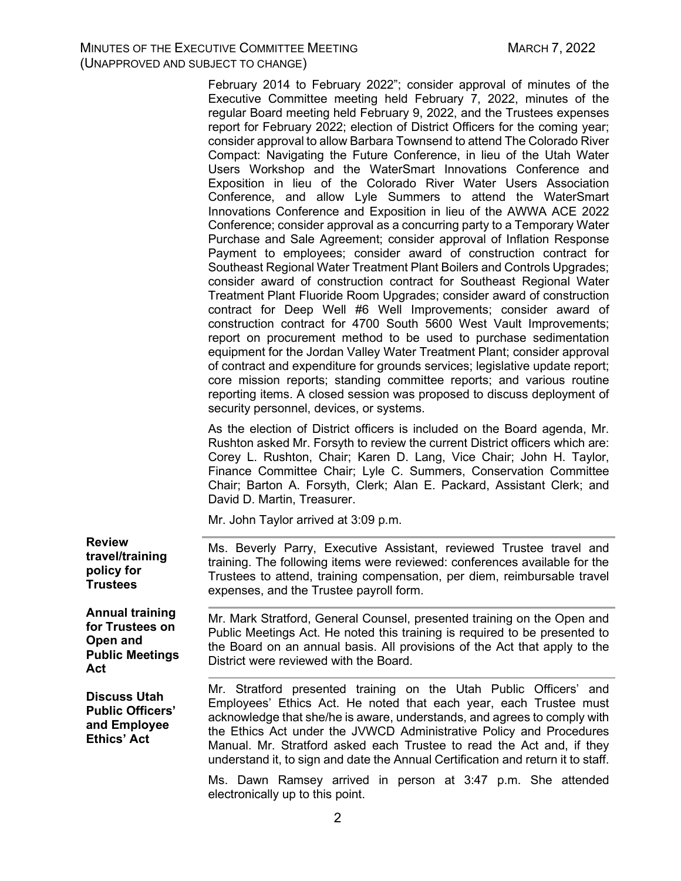February 2014 to February 2022"; consider approval of minutes of the Executive Committee meeting held February 7, 2022, minutes of the regular Board meeting held February 9, 2022, and the Trustees expenses report for February 2022; election of District Officers for the coming year; consider approval to allow Barbara Townsend to attend The Colorado River Compact: Navigating the Future Conference, in lieu of the Utah Water Users Workshop and the WaterSmart Innovations Conference and Exposition in lieu of the Colorado River Water Users Association Conference, and allow Lyle Summers to attend the WaterSmart Innovations Conference and Exposition in lieu of the AWWA ACE 2022 Conference; consider approval as a concurring party to a Temporary Water Purchase and Sale Agreement; consider approval of Inflation Response Payment to employees; consider award of construction contract for Southeast Regional Water Treatment Plant Boilers and Controls Upgrades; consider award of construction contract for Southeast Regional Water Treatment Plant Fluoride Room Upgrades; consider award of construction contract for Deep Well #6 Well Improvements; consider award of construction contract for 4700 South 5600 West Vault Improvements; report on procurement method to be used to purchase sedimentation equipment for the Jordan Valley Water Treatment Plant; consider approval of contract and expenditure for grounds services; legislative update report; core mission reports; standing committee reports; and various routine reporting items. A closed session was proposed to discuss deployment of security personnel, devices, or systems.

As the election of District officers is included on the Board agenda, Mr. Rushton asked Mr. Forsyth to review the current District officers which are: Corey L. Rushton, Chair; Karen D. Lang, Vice Chair; John H. Taylor, Finance Committee Chair; Lyle C. Summers, Conservation Committee Chair; Barton A. Forsyth, Clerk; Alan E. Packard, Assistant Clerk; and David D. Martin, Treasurer.

Mr. John Taylor arrived at 3:09 p.m.

**Review travel/training policy for Trustees**

**Annual training for Trustees on Open and Public Meetings Act**

**Discuss Utah Public Officers' and Employee Ethics' Act**

Ms. Beverly Parry, Executive Assistant, reviewed Trustee travel and training. The following items were reviewed: conferences available for the Trustees to attend, training compensation, per diem, reimbursable travel expenses, and the Trustee payroll form.

Mr. Mark Stratford, General Counsel, presented training on the Open and Public Meetings Act. He noted this training is required to be presented to the Board on an annual basis. All provisions of the Act that apply to the District were reviewed with the Board.

Mr. Stratford presented training on the Utah Public Officers' and Employees' Ethics Act. He noted that each year, each Trustee must acknowledge that she/he is aware, understands, and agrees to comply with the Ethics Act under the JVWCD Administrative Policy and Procedures Manual. Mr. Stratford asked each Trustee to read the Act and, if they understand it, to sign and date the Annual Certification and return it to staff.

Ms. Dawn Ramsey arrived in person at 3:47 p.m. She attended electronically up to this point.